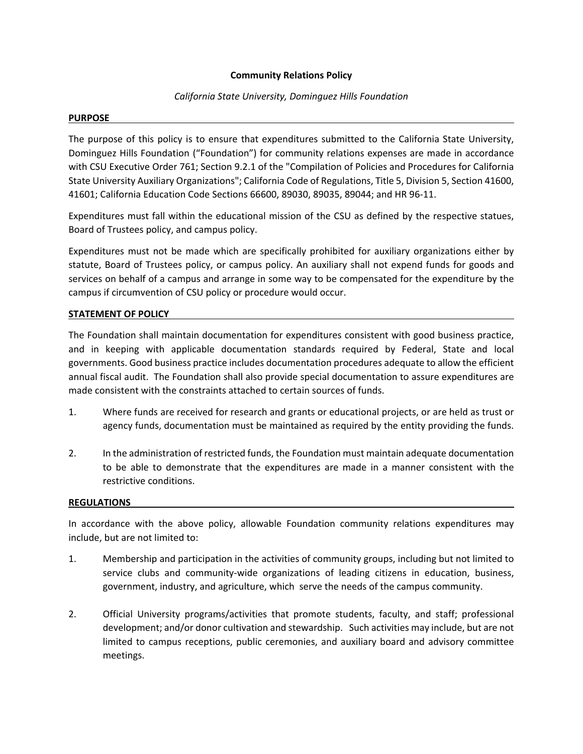## **Community Relations Policy**

# *California State University, Dominguez Hills Foundation*

## **PURPOSE**

The purpose of this policy is to ensure that expenditures submitted to the California State University, Dominguez Hills Foundation ("Foundation") for community relations expenses are made in accordance with CSU Executive Order 761; Section 9.2.1 of the "Compilation of Policies and Procedures for California State University Auxiliary Organizations"; California Code of Regulations, Title 5, Division 5, Section 41600, 41601; California Education Code Sections 66600, 89030, 89035, 89044; and HR 96‐11.

Expenditures must fall within the educational mission of the CSU as defined by the respective statues, Board of Trustees policy, and campus policy.

Expenditures must not be made which are specifically prohibited for auxiliary organizations either by statute, Board of Trustees policy, or campus policy. An auxiliary shall not expend funds for goods and services on behalf of a campus and arrange in some way to be compensated for the expenditure by the campus if circumvention of CSU policy or procedure would occur.

### **STATEMENT OF POLICY**

The Foundation shall maintain documentation for expenditures consistent with good business practice, and in keeping with applicable documentation standards required by Federal, State and local governments. Good business practice includes documentation procedures adequate to allow the efficient annual fiscal audit. The Foundation shall also provide special documentation to assure expenditures are made consistent with the constraints attached to certain sources of funds.

- 1. Where funds are received for research and grants or educational projects, or are held as trust or agency funds, documentation must be maintained as required by the entity providing the funds.
- 2. In the administration of restricted funds, the Foundation must maintain adequate documentation to be able to demonstrate that the expenditures are made in a manner consistent with the restrictive conditions.

### **REGULATIONS**

In accordance with the above policy, allowable Foundation community relations expenditures may include, but are not limited to:

- 1. Membership and participation in the activities of community groups, including but not limited to service clubs and community-wide organizations of leading citizens in education, business, government, industry, and agriculture, which serve the needs of the campus community.
- 2. Official University programs/activities that promote students, faculty, and staff; professional development; and/or donor cultivation and stewardship. Such activities may include, but are not limited to campus receptions, public ceremonies, and auxiliary board and advisory committee meetings.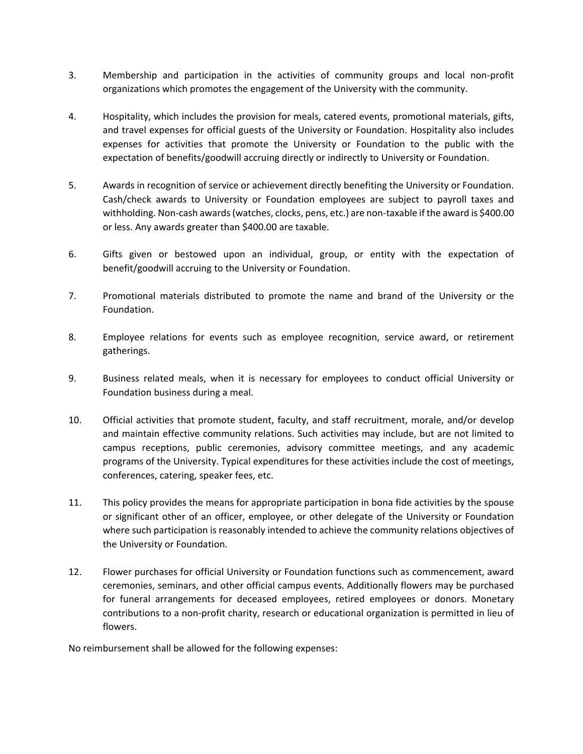- 3. Membership and participation in the activities of community groups and local non‐profit organizations which promotes the engagement of the University with the community.
- 4. Hospitality, which includes the provision for meals, catered events, promotional materials, gifts, and travel expenses for official guests of the University or Foundation. Hospitality also includes expenses for activities that promote the University or Foundation to the public with the expectation of benefits/goodwill accruing directly or indirectly to University or Foundation.
- 5. Awards in recognition of service or achievement directly benefiting the University or Foundation. Cash/check awards to University or Foundation employees are subject to payroll taxes and withholding. Non‐cash awards(watches, clocks, pens, etc.) are non‐taxable if the award is \$400.00 or less. Any awards greater than \$400.00 are taxable.
- 6. Gifts given or bestowed upon an individual, group, or entity with the expectation of benefit/goodwill accruing to the University or Foundation.
- 7. Promotional materials distributed to promote the name and brand of the University or the Foundation.
- 8. Employee relations for events such as employee recognition, service award, or retirement gatherings.
- 9. Business related meals, when it is necessary for employees to conduct official University or Foundation business during a meal.
- 10. Official activities that promote student, faculty, and staff recruitment, morale, and/or develop and maintain effective community relations. Such activities may include, but are not limited to campus receptions, public ceremonies, advisory committee meetings, and any academic programs of the University. Typical expenditures for these activities include the cost of meetings, conferences, catering, speaker fees, etc.
- 11. This policy provides the means for appropriate participation in bona fide activities by the spouse or significant other of an officer, employee, or other delegate of the University or Foundation where such participation is reasonably intended to achieve the community relations objectives of the University or Foundation.
- 12. Flower purchases for official University or Foundation functions such as commencement, award ceremonies, seminars, and other official campus events. Additionally flowers may be purchased for funeral arrangements for deceased employees, retired employees or donors. Monetary contributions to a non‐profit charity, research or educational organization is permitted in lieu of flowers.

No reimbursement shall be allowed for the following expenses: